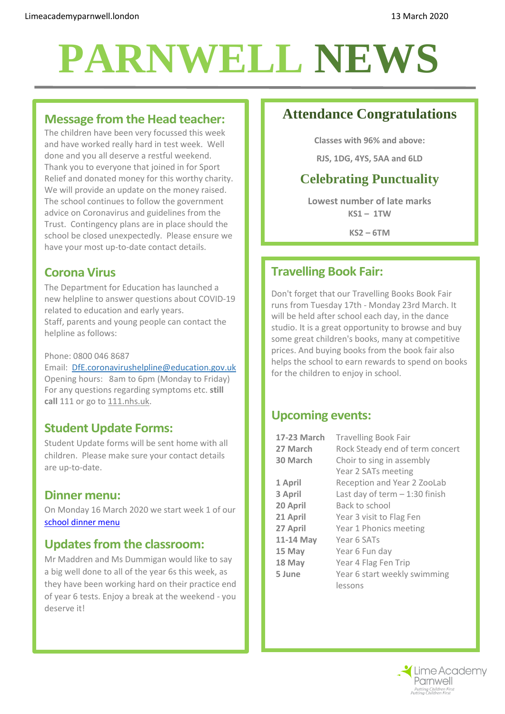## **PARNWELL NEWS**

## **Message from the Head teacher:**

The children have been very focussed this week and have worked really hard in test week. Well done and you all deserve a restful weekend. Thank you to everyone that joined in for Sport Relief and donated money for this worthy charity. We will provide an update on the money raised. The school continues to follow the government advice on Coronavirus and guidelines from the Trust. Contingency plans are in place should the school be closed unexpectedly. Please ensure we have your most up-to-date contact details.

## **Corona Virus**

The Department for Education has launched a new helpline to answer questions about COVID-19 related to education and early years. Staff, parents and young people can contact the helpline as follows:

#### Phone: 0800 046 8687

Email: [DfE.coronavirushelpline@education.gov.uk](mailto:DfE.coronavirushelpline@education.gov.uk) Opening hours: 8am to 6pm (Monday to Friday) For any questions regarding symptoms etc. **still call** 111 or go to [111.nhs.uk.](http://111.nhs.uk/)

## **Student Update Forms:**

Student Update forms will be sent home with all children. Please make sure your contact details are up-to-date.

### **Dinner menu:**

On Monday 16 March 2020 we start week 1 of our [school dinner menu](http://limeacademyparnwell.london/media/2196/dinner-menu-2019-09-05.pdf)

## **Updates from the classroom:**

Mr Maddren and Ms Dummigan would like to say a big well done to all of the year 6s this week, as they have been working hard on their practice end of year 6 tests. Enjoy a break at the weekend - you deserve it!

## **Attendance Congratulations**

**Classes with 96% and above:**

**RJS, 1DG, 4YS, 5AA and 6LD**

## **Celebrating Punctuality**

**Lowest number of late marks KS1 – 1TW**

**KS2 – 6TM**

## **Travelling Book Fair:**

Don't forget that our Travelling Books Book Fair runs from Tuesday 17th - Monday 23rd March. It will be held after school each day, in the dance studio. It is a great opportunity to browse and buy some great children's books, many at competitive prices. And buying books from the book fair also helps the school to earn rewards to spend on books for the children to enjoy in school.

### **Upcoming events:**

| 17-23 March | <b>Travelling Book Fair</b>     |
|-------------|---------------------------------|
| 27 March    | Rock Steady end of term concert |
| 30 March    | Choir to sing in assembly       |
|             | Year 2 SATs meeting             |
| 1 April     | Reception and Year 2 ZooLab     |
| 3 April     | Last day of term $-1:30$ finish |
| 20 April    | Back to school                  |
| 21 April    | Year 3 visit to Flag Fen        |
| 27 April    | Year 1 Phonics meeting          |
| 11-14 May   | Year 6 SATs                     |
| 15 May      | Year 6 Fun day                  |
| 18 May      | Year 4 Flag Fen Trip            |
| 5 June      | Year 6 start weekly swimming    |
|             | lessons                         |